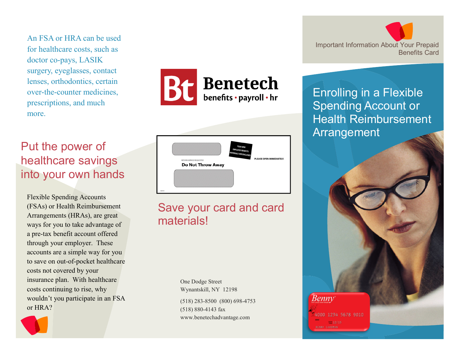An FSA or HRA can be used for healthcare costs, such as doctor co-pays, LASIK surgery, eyeglasses, contact lenses, orthodontics, certain over-the-counter medicines, prescriptions, and much more.

## Put the power of healthcare savings into your own hands

Flexible Spending Accounts (FSAs) or Health Reimbursement Arrangements (HRAs), are great ways for you to take advantage of a pre-tax benefit account offered through your employer. These accounts are a simple way for you to save on out-of-pocket healthcare costs not covered by your insurance plan. With healthcare costs continuing to rise, why wouldn't you participate in an FSAor HRA?



**Benetech** benefits · payroll · hr



## Save your card and card materials!

One Dodge Street Wynantskill, NY 12198 (518) 283-8500 (800) 698-4753(518) 880-4143 fax www.benetechadvantage.com



Enrolling in a Flexible Spending Account or Health Reimbursement Arrangement

**Benny** 

4000 1234 5678 9010